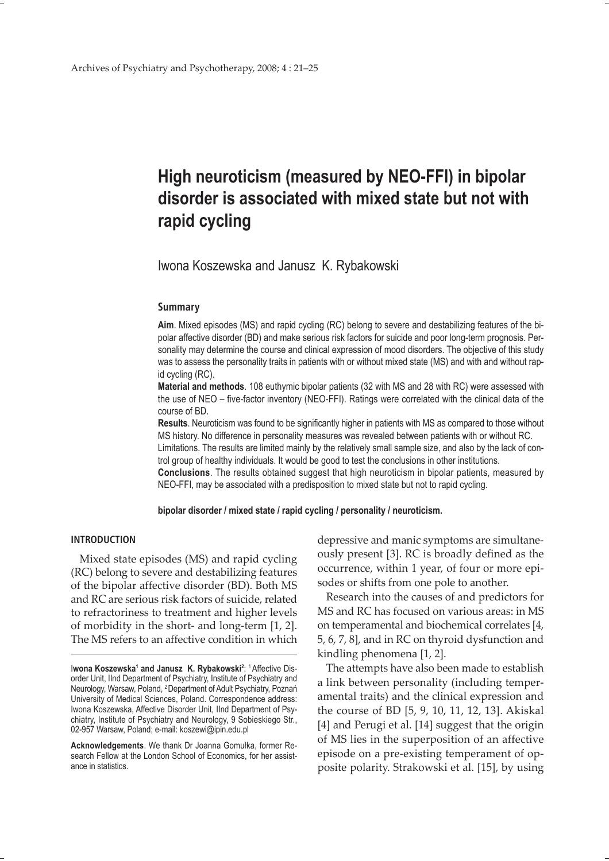## **High neuroticism (measured by NEO-FFI) in bipolar disorder is associated with mixed state but not with rapid cycling**

Iwona Koszewska and Janusz K. Rybakowski

#### **Summary**

**Aim**. Mixed episodes (MS) and rapid cycling (RC) belong to severe and destabilizing features of the bipolar affective disorder (BD) and make serious risk factors for suicide and poor long-term prognosis. Personality may determine the course and clinical expression of mood disorders. The objective of this study was to assess the personality traits in patients with or without mixed state (MS) and with and without rapid cycling (RC).

**Material and methods**. 108 euthymic bipolar patients (32 with MS and 28 with RC) were assessed with the use of NEO – five-factor inventory (NEO-FFI). Ratings were correlated with the clinical data of the course of BD.

**Results**. Neuroticism was found to be significantly higher in patients with MS as compared to those without MS history. No difference in personality measures was revealed between patients with or without RC. Limitations. The results are limited mainly by the relatively small sample size, and also by the lack of con-

trol group of healthy individuals. It would be good to test the conclusions in other institutions. **Conclusions**. The results obtained suggest that high neuroticism in bipolar patients, measured by NEO-FFI, may be associated with a predisposition to mixed state but not to rapid cycling.

**bipolar disorder / mixed state / rapid cycling / personality / neuroticism.**

#### **INTRODUCTION**

Mixed state episodes (MS) and rapid cycling (RC) belong to severe and destabilizing features of the bipolar affective disorder (BD). Both MS and RC are serious risk factors of suicide, related to refractoriness to treatment and higher levels of morbidity in the short- and long-term [1, 2]. The MS refers to an affective condition in which

**Acknowledgements**. We thank Dr Joanna Gomułka, former Research Fellow at the London School of Economics, for her assistance in statistics.

depressive and manic symptoms are simultaneously present [3]. RC is broadly defined as the occurrence, within 1 year, of four or more episodes or shifts from one pole to another.

Research into the causes of and predictors for MS and RC has focused on various areas: in MS on temperamental and biochemical correlates [4, 5, 6, 7, 8], and in RC on thyroid dysfunction and kindling phenomena [1, 2].

The attempts have also been made to establish a link between personality (including temperamental traits) and the clinical expression and the course of BD [5, 9, 10, 11, 12, 13]. Akiskal [4] and Perugi et al. [14] suggest that the origin of MS lies in the superposition of an affective episode on a pre-existing temperament of opposite polarity. Strakowski et al. [15], by using

lwona Koszewska<sup>1</sup> and Janusz K. Rybakowski<sup>2: 1</sup> Affective Disorder Unit, IInd Department of Psychiatry, Institute of Psychiatry and Neurology, Warsaw, Poland, 2 Department of Adult Psychiatry, Poznań University of Medical Sciences, Poland. Correspondence address: Iwona Koszewska, Affective Disorder Unit, IInd Department of Psychiatry, Institute of Psychiatry and Neurology, 9 Sobieskiego Str., 02-957 Warsaw, Poland; e-mail: koszewi@ipin.edu.pl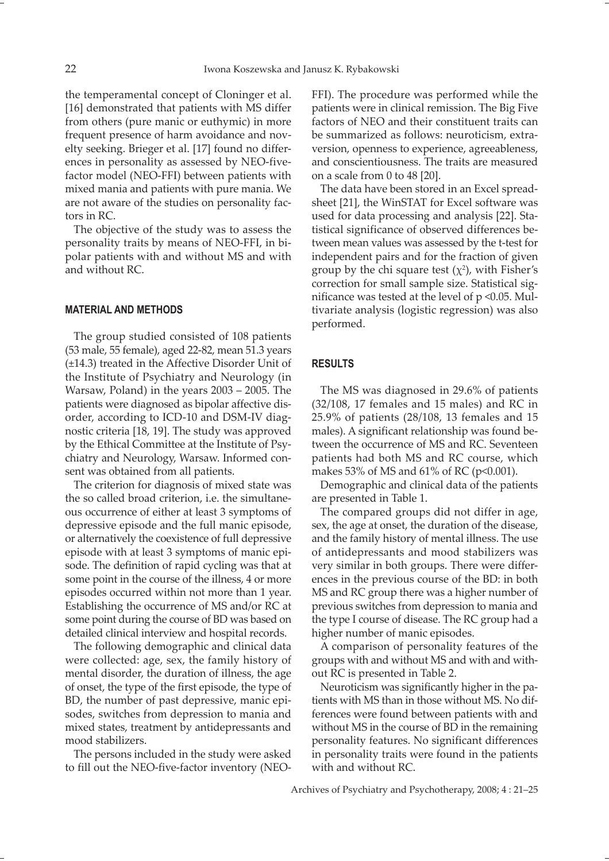the temperamental concept of Cloninger et al. [16] demonstrated that patients with MS differ from others (pure manic or euthymic) in more frequent presence of harm avoidance and novelty seeking. Brieger et al. [17] found no differences in personality as assessed by NEO-fivefactor model (NEO-FFI) between patients with mixed mania and patients with pure mania. We are not aware of the studies on personality factors in RC.

The objective of the study was to assess the personality traits by means of NEO-FFI, in bipolar patients with and without MS and with and without RC.

#### **MATERIAL AND METHODS**

The group studied consisted of 108 patients (53 male, 55 female), aged 22-82, mean 51.3 years (±14.3) treated in the Affective Disorder Unit of the Institute of Psychiatry and Neurology (in Warsaw, Poland) in the years 2003 – 2005. The patients were diagnosed as bipolar affective disorder, according to ICD-10 and DSM-IV diagnostic criteria [18, 19]. The study was approved by the Ethical Committee at the Institute of Psychiatry and Neurology, Warsaw. Informed consent was obtained from all patients.

The criterion for diagnosis of mixed state was the so called broad criterion, i.e. the simultaneous occurrence of either at least 3 symptoms of depressive episode and the full manic episode, or alternatively the coexistence of full depressive episode with at least 3 symptoms of manic episode. The definition of rapid cycling was that at some point in the course of the illness, 4 or more episodes occurred within not more than 1 year. Establishing the occurrence of MS and/or RC at some point during the course of BD was based on detailed clinical interview and hospital records.

The following demographic and clinical data were collected: age, sex, the family history of mental disorder, the duration of illness, the age of onset, the type of the first episode, the type of BD, the number of past depressive, manic episodes, switches from depression to mania and mixed states, treatment by antidepressants and mood stabilizers.

The persons included in the study were asked to fill out the NEO-five-factor inventory (NEO- FFI). The procedure was performed while the patients were in clinical remission. The Big Five factors of NEO and their constituent traits can be summarized as follows: neuroticism, extraversion, openness to experience, agreeableness, and conscientiousness. The traits are measured on a scale from 0 to 48 [20].

The data have been stored in an Excel spreadsheet [21], the WinSTAT for Excel software was used for data processing and analysis [22]. Statistical significance of observed differences between mean values was assessed by the t-test for independent pairs and for the fraction of given group by the chi square test  $(\chi^2)$ , with Fisher's correction for small sample size. Statistical significance was tested at the level of  $p \le 0.05$ . Multivariate analysis (logistic regression) was also performed.

#### **RESULTS**

The MS was diagnosed in 29.6% of patients (32/108, 17 females and 15 males) and RC in 25.9% of patients (28/108, 13 females and 15 males). A significant relationship was found between the occurrence of MS and RC. Seventeen patients had both MS and RC course, which makes 53% of MS and 61% of RC (p<0.001).

Demographic and clinical data of the patients are presented in Table 1.

The compared groups did not differ in age, sex, the age at onset, the duration of the disease, and the family history of mental illness. The use of antidepressants and mood stabilizers was very similar in both groups. There were differences in the previous course of the BD: in both MS and RC group there was a higher number of previous switches from depression to mania and the type I course of disease. The RC group had a higher number of manic episodes.

A comparison of personality features of the groups with and without MS and with and without RC is presented in Table 2.

Neuroticism was significantly higher in the patients with MS than in those without MS. No differences were found between patients with and without MS in the course of BD in the remaining personality features. No significant differences in personality traits were found in the patients with and without RC.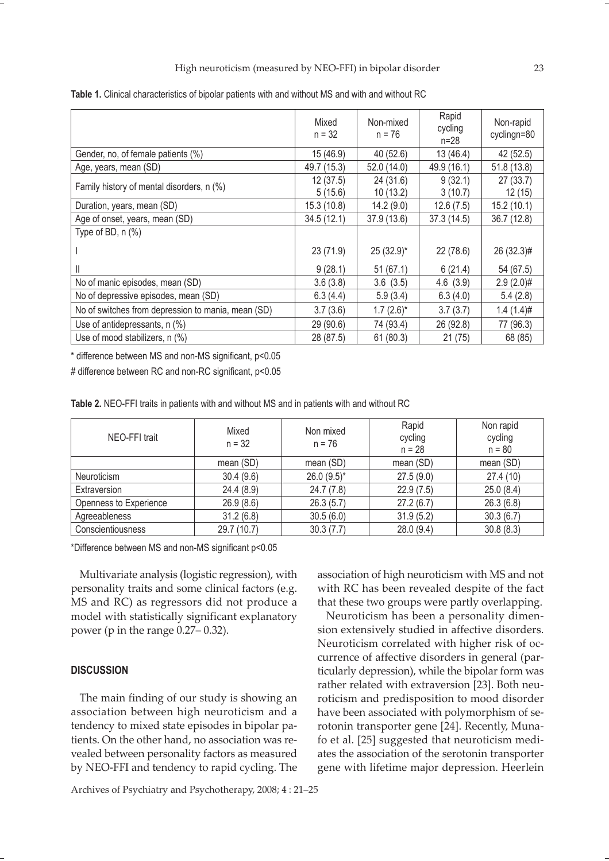|                                                    | Mixed<br>$n = 32$ | Non-mixed<br>$n = 76$ | Rapid<br>cycling<br>$n = 28$ | Non-rapid<br>cyclingn=80 |
|----------------------------------------------------|-------------------|-----------------------|------------------------------|--------------------------|
| Gender, no, of female patients (%)                 | 15 (46.9)         | 40 (52.6)             | 13 (46.4)                    | 42 (52.5)                |
| Age, years, mean (SD)                              | 49.7 (15.3)       | 52.0 (14.0)           | 49.9 (16.1)                  | 51.8 (13.8)              |
| Family history of mental disorders, n (%)          | 12(37.5)          | 24(31.6)              | 9(32.1)                      | 27(33.7)                 |
|                                                    | 5(15.6)           | 10(13.2)              | 3(10.7)                      | 12(15)                   |
| Duration, years, mean (SD)                         | 15.3 (10.8)       | 14.2(9.0)             | 12.6(7.5)                    | 15.2(10.1)               |
| Age of onset, years, mean (SD)                     | 34.5(12.1)        | 37.9 (13.6)           | 37.3 (14.5)                  | 36.7 (12.8)              |
| Type of BD, $n$ $%$                                |                   |                       |                              |                          |
|                                                    | 23 (71.9)         | 25 (32.9)*            | 22(78.6)                     | 26 (32.3)#               |
| Ш                                                  | 9(28.1)           | 51(67.1)              | 6(21.4)                      | 54 (67.5)                |
| No of manic episodes, mean (SD)                    | 3.6(3.8)          | 3.6(3.5)              | 4.6(3.9)                     | $2.9(2.0)$ #             |
| No of depressive episodes, mean (SD)               | 6.3(4.4)          | 5.9(3.4)              | 6.3(4.0)                     | 5.4(2.8)                 |
| No of switches from depression to mania, mean (SD) | 3.7(3.6)          | $1.7(2.6)$ *          | 3.7(3.7)                     | $1.4(1.4)$ #             |
| Use of antidepressants, n (%)                      | 29 (90.6)         | 74 (93.4)             | 26 (92.8)                    | 77 (96.3)                |
| Use of mood stabilizers, n (%)                     | 28 (87.5)         | 61(80.3)              | 21(75)                       | 68 (85)                  |

**Table 1.** Clinical characteristics of bipolar patients with and without MS and with and without RC

\* difference between MS and non-MS significant, p<0.05

# difference between RC and non-RC significant, p<0.05

| NEO-FFI trait          | Mixed<br>$n = 32$ | Non mixed<br>$n = 76$ | Rapid<br>cycling<br>$n = 28$ | Non rapid<br>cycling<br>$n = 80$ |
|------------------------|-------------------|-----------------------|------------------------------|----------------------------------|
|                        | mean (SD)         | mean (SD)             | mean (SD)                    | mean (SD)                        |
| Neuroticism            | 30.4(9.6)         | $26.0(9.5)^*$         | 27.5(9.0)                    | 27.4 (10)                        |
| Extraversion           | 24.4(8.9)         | 24.7(7.8)             | 22.9(7.5)                    | 25.0(8.4)                        |
| Openness to Experience | 26.9(8.6)         | 26.3(5.7)             | 27.2(6.7)                    | 26.3(6.8)                        |
| Agreeableness          | 31.2(6.8)         | 30.5(6.0)             | 31.9(5.2)                    | 30.3(6.7)                        |
| Conscientiousness      | 29.7 (10.7)       | 30.3(7.7)             | 28.0 (9.4)                   | 30.8(8.3)                        |

\*Difference between MS and non-MS significant p<0.05

Multivariate analysis (logistic regression), with personality traits and some clinical factors (e.g. MS and RC) as regressors did not produce a model with statistically significant explanatory power (p in the range 0.27– 0.32).

#### **DISCUSSION**

The main finding of our study is showing an association between high neuroticism and a tendency to mixed state episodes in bipolar patients. On the other hand, no association was revealed between personality factors as measured by NEO-FFI and tendency to rapid cycling. The association of high neuroticism with MS and not with RC has been revealed despite of the fact that these two groups were partly overlapping.

Neuroticism has been a personality dimension extensively studied in affective disorders. Neuroticism correlated with higher risk of occurrence of affective disorders in general (particularly depression), while the bipolar form was rather related with extraversion [23]. Both neuroticism and predisposition to mood disorder have been associated with polymorphism of serotonin transporter gene [24]. Recently, Munafo et al. [25] suggested that neuroticism mediates the association of the serotonin transporter gene with lifetime major depression. Heerlein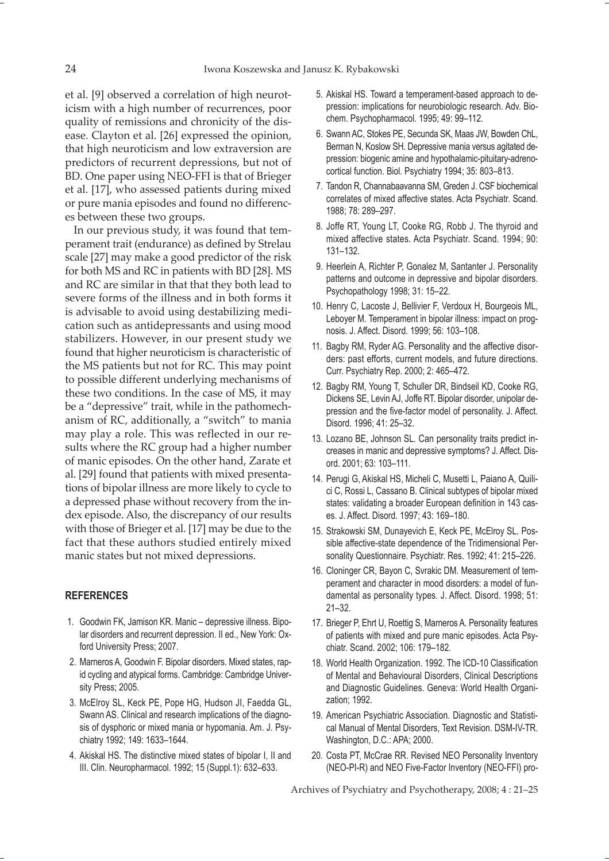et al. [9] observed a correlation of high neuroticism with a high number of recurrences, poor quality of remissions and chronicity of the disease. Clayton et al. [26] expressed the opinion, that high neuroticism and low extraversion are predictors of recurrent depressions, but not of BD. One paper using NEO-FFI is that of Brieger et al. [17], who assessed patients during mixed or pure mania episodes and found no differences between these two groups.

In our previous study, it was found that temperament trait (endurance) as defined by Strelau scale [27] may make a good predictor of the risk for both MS and RC in patients with BD [28]. MS and RC are similar in that that they both lead to severe forms of the illness and in both forms it is advisable to avoid using destabilizing medication such as antidepressants and using mood stabilizers. However, in our present study we found that higher neuroticism is characteristic of the MS patients but not for RC. This may point to possible different underlying mechanisms of these two conditions. In the case of MS, it may be a "depressive" trait, while in the pathomechanism of RC, additionally, a "switch" to mania may play a role. This was reflected in our results where the RC group had a higher number of manic episodes. On the other hand, Zarate et al. [29] found that patients with mixed presentations of bipolar illness are more likely to cycle to a depressed phase without recovery from the index episode. Also, the discrepancy of our results with those of Brieger et al. [17] may be due to the fact that these authors studied entirely mixed manic states but not mixed depressions.

#### **REFERENCES**

- 1. Goodwin FK, Jamison KR. Manic depressive illness. Bipolar disorders and recurrent depression. II ed., New York: Oxford University Press; 2007.
- 2. Marneros A, Goodwin F. Bipolar disorders. Mixed states, rapid cycling and atypical forms. Cambridge: Cambridge University Press; 2005.
- 3. McElroy SL, Keck PE, Pope HG, Hudson JI, Faedda GL, Swann AS. Clinical and research implications of the diagnosis of dysphoric or mixed mania or hypomania. Am. J. Psychiatry 1992; 149: 1633–1644.
- 4. Akiskal HS. The distinctive mixed states of bipolar I, II and III. Clin. Neuropharmacol. 1992; 15 (Suppl.1): 632–633.
- 5. Akiskal HS. Toward a temperament-based approach to depression: implications for neurobiologic research. Adv. Biochem. Psychopharmacol. 1995; 49: 99–112.
- 6. Swann AC, Stokes PE, Secunda SK, Maas JW, Bowden ChL, Berman N, Koslow SH. Depressive mania versus agitated depression: biogenic amine and hypothalamic-pituitary-adrenocortical function. Biol. Psychiatry 1994; 35: 803–813.
- 7. Tandon R, Channabaavanna SM, Greden J. CSF biochemical correlates of mixed affective states. Acta Psychiatr. Scand. 1988; 78: 289–297.
- 8. Joffe RT, Young LT, Cooke RG, Robb J. The thyroid and mixed affective states. Acta Psychiatr. Scand. 1994; 90: 131–132.
- 9. Heerlein A, Richter P, Gonalez M, Santanter J. Personality patterns and outcome in depressive and bipolar disorders. Psychopathology 1998; 31: 15–22.
- 10. Henry C, Lacoste J, Bellivier F, Verdoux H, Bourgeois ML, Leboyer M. Temperament in bipolar illness: impact on prognosis. J. Affect. Disord. 1999; 56: 103–108.
- 11. Bagby RM, Ryder AG. Personality and the affective disorders: past efforts, current models, and future directions. Curr. Psychiatry Rep. 2000; 2: 465–472.
- 12. Bagby RM, Young T, Schuller DR, Bindseil KD, Cooke RG, Dickens SE, Levin AJ, Joffe RT. Bipolar disorder, unipolar depression and the five-factor model of personality. J. Affect. Disord. 1996; 41: 25–32.
- 13. Lozano BE, Johnson SL. Can personality traits predict increases in manic and depressive symptoms? J. Affect. Disord. 2001; 63: 103–111.
- 14. Perugi G, Akiskal HS, Micheli C, Musetti L, Paiano A, Quilici C, Rossi L, Cassano B. Clinical subtypes of bipolar mixed states: validating a broader European definition in 143 cases. J. Affect. Disord. 1997; 43: 169–180.
- 15. Strakowski SM, Dunayevich E, Keck PE, McElroy SL. Possible affective-state dependence of the Tridimensional Personality Questionnaire. Psychiatr. Res. 1992; 41: 215–226.
- 16. Cloninger CR, Bayon C, Svrakic DM. Measurement of temperament and character in mood disorders: a model of fundamental as personality types. J. Affect. Disord. 1998; 51: 21–32.
- 17. Brieger P, Ehrt U, Roettig S, Marneros A. Personality features of patients with mixed and pure manic episodes. Acta Psychiatr. Scand. 2002; 106: 179–182.
- 18. World Health Organization. 1992. The ICD-10 Classification of Mental and Behavioural Disorders, Clinical Descriptions and Diagnostic Guidelines. Geneva: World Health Organization; 1992.
- 19. American Psychiatric Association. Diagnostic and Statistical Manual of Mental Disorders, Text Revision. DSM-IV-TR. Washington, D.C.: APA; 2000.
- 20. Costa PT, McCrae RR. Revised NEO Personality Inventory (NEO-PI-R) and NEO Five-Factor Inventory (NEO-FFI) pro-

Archives of Psychiatry and Psychotherapy, 2008; 4 : 21–25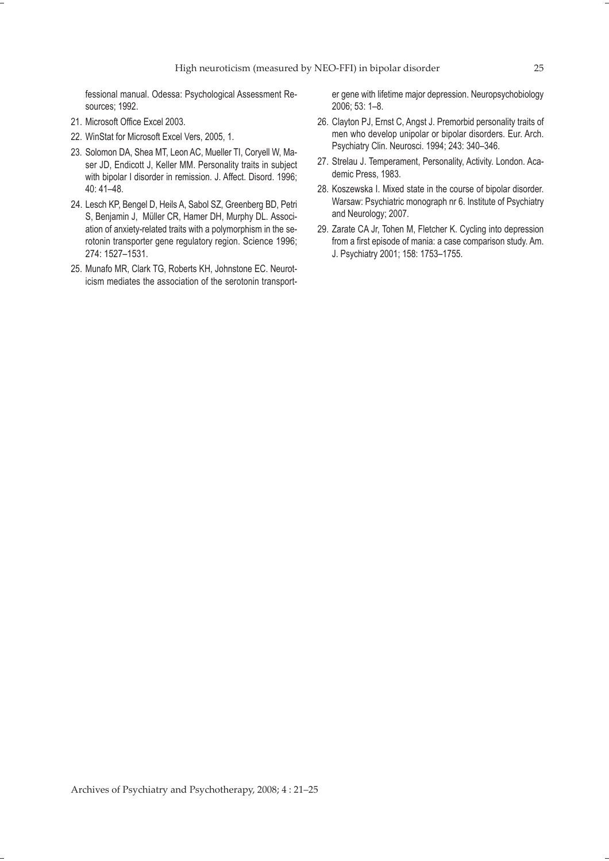fessional manual. Odessa: Psychological Assessment Resources; 1992.

- 21. Microsoft Office Excel 2003.
- 22. WinStat for Microsoft Excel Vers, 2005, 1.
- 23. Solomon DA, Shea MT, Leon AC, Mueller TI, Coryell W, Maser JD, Endicott J, Keller MM. Personality traits in subject with bipolar I disorder in remission. J. Affect. Disord. 1996; 40: 41–48.
- 24. Lesch KP, Bengel D, Heils A, Sabol SZ, Greenberg BD, Petri S, Benjamin J, Müller CR, Hamer DH, Murphy DL. Association of anxiety-related traits with a polymorphism in the serotonin transporter gene regulatory region. Science 1996; 274: 1527–1531.
- 25. Munafo MR, Clark TG, Roberts KH, Johnstone EC. Neuroticism mediates the association of the serotonin transport-

er gene with lifetime major depression. Neuropsychobiology 2006; 53: 1–8.

- 26. Clayton PJ, Ernst C, Angst J. Premorbid personality traits of men who develop unipolar or bipolar disorders. Eur. Arch. Psychiatry Clin. Neurosci. 1994; 243: 340–346.
- 27. Strelau J. Temperament, Personality, Activity. London. Academic Press, 1983.
- 28. Koszewska I. Mixed state in the course of bipolar disorder. Warsaw: Psychiatric monograph nr 6. Institute of Psychiatry and Neurology; 2007.
- 29. Zarate CA Jr, Tohen M, Fletcher K. Cycling into depression from a first episode of mania: a case comparison study. Am. J. Psychiatry 2001; 158: 1753–1755.